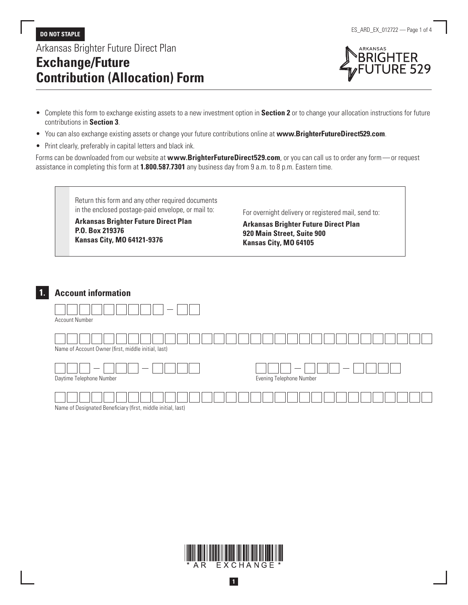Arkansas Brighter Future Direct Plan

# **Exchange/Future Contribution (Allocation) Form**





- Complete this form to exchange existing assets to a new investment option in **Section 2** or to change your allocation instructions for future contributions in **Section 3**.
- You can also exchange existing assets or change your future contributions online at **[www.BrighterFutureDirect529.com](http://www.BrighterFutureDirect529.com)**.
- Print clearly, preferably in capital letters and black ink.

Forms can be downloaded from our website at **[www.BrighterFutureDirect529.com](http://www.BrighterFutureDirect529.com)**, or you can call us to order any form—or request assistance in completing this form at **1.800.587.7301** any business day from 9 a.m. to 8 p.m. Eastern time.

> Return this form and any other required documents in the enclosed postage-paid envelope, or mail to:

**Arkansas Brighter Future Direct Plan P.O. Box 219376 Kansas City, MO 64121-9376**

For overnight delivery or registered mail, send to:

**Arkansas Brighter Future Direct Plan 920 Main Street, Suite 900 Kansas City, MO 64105**

## **1. Account information**



EXCHANGE AR.

**1**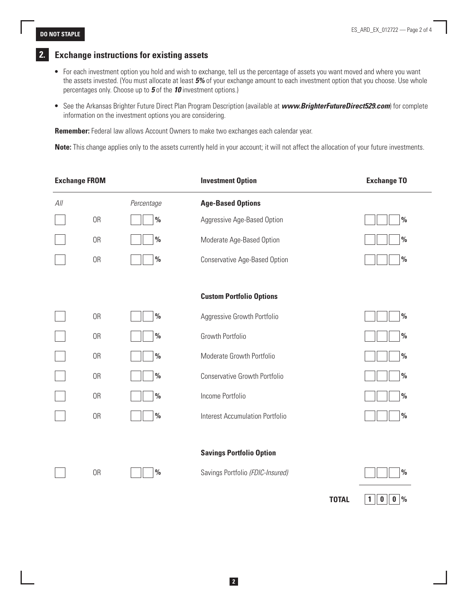**TOTAL**  $\| 1 \| 0 \| 0 \$ 

### **2. Exchange instructions for existing assets**

- For each investment option you hold and wish to exchange, tell us the percentage of assets you want moved and where you want the assets invested. (You must allocate at least *5%* of your exchange amount to each investment option that you choose. Use whole percentages only. Choose up to *5* of the *10* investment options.)
- See the Arkansas Brighter Future Direct Plan Program Description (available at *[www.BrighterFutureDirect529.com](http://www.BrighterFutureDirect529.com)*) for complete information on the investment options you are considering.

**Remember:** Federal law allows Account Owners to make two exchanges each calendar year.

**Note:** This change applies only to the assets currently held in your account; it will not affect the allocation of your future investments.

| <b>Exchange FROM</b> |           |               | <b>Investment Option</b>               | <b>Exchange TO</b> |
|----------------------|-----------|---------------|----------------------------------------|--------------------|
| All                  |           | Percentage    | <b>Age-Based Options</b>               |                    |
|                      | 0R        | $\frac{0}{0}$ | Aggressive Age-Based Option            | $\frac{0}{0}$      |
|                      | 0R        | $\%$          | Moderate Age-Based Option              | $\frac{0}{0}$      |
|                      | 0R        | $\frac{0}{0}$ | Conservative Age-Based Option          | $\frac{0}{0}$      |
|                      |           |               |                                        |                    |
|                      |           |               | <b>Custom Portfolio Options</b>        |                    |
|                      | 0R        | $\frac{0}{0}$ | Aggressive Growth Portfolio            | $\frac{0}{0}$      |
|                      | 0R        | $\frac{0}{0}$ | Growth Portfolio                       | $\frac{0}{0}$      |
|                      | 0R        | $\%$          | Moderate Growth Portfolio              | $\%$               |
|                      | 0R        | $\frac{0}{0}$ | Conservative Growth Portfolio          | $\frac{0}{0}$      |
|                      | 0R        | $\frac{0}{0}$ | Income Portfolio                       | $\%$               |
|                      | 0R        | $\%$          | <b>Interest Accumulation Portfolio</b> | $\frac{0}{0}$      |
|                      |           |               |                                        |                    |
|                      |           |               | <b>Savings Portfolio Option</b>        |                    |
|                      | <b>OR</b> | $\frac{0}{0}$ | Savings Portfolio (FDIC-Insured)       | $\frac{0}{0}$      |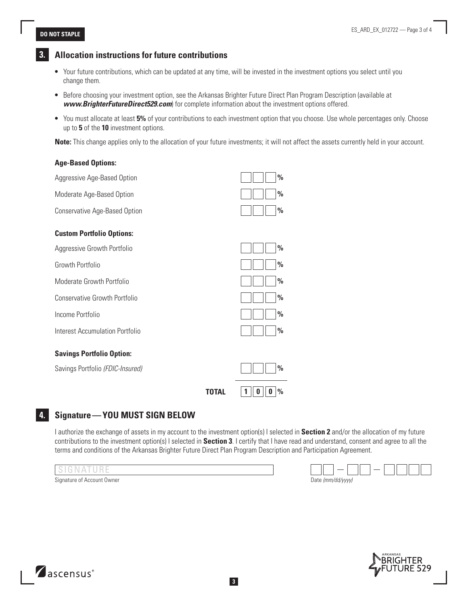**Age-Based Options:**

### **3. Allocation instructions for future contributions**

- Your future contributions, which can be updated at any time, will be invested in the investment options you select until you change them.
- Before choosing your investment option, see the Arkansas Brighter Future Direct Plan Program Description (available at *[www.BrighterFutureDirect529.com](http://www.BrighterFutureDirect529.com)*) for complete information about the investment options offered.
- You must allocate at least **5%** of your contributions to each investment option that you choose. Use whole percentages only. Choose up to **5** of the **10** investment options.

**Note:** This change applies only to the allocation of your future investments; it will not affect the assets currently held in your account.

| TOTAL                                  | $\frac{0}{0}$<br>1<br>0 |
|----------------------------------------|-------------------------|
| Savings Portfolio (FDIC-Insured)       | $\frac{0}{0}$           |
| <b>Savings Portfolio Option:</b>       |                         |
| <b>Interest Accumulation Portfolio</b> | $\frac{0}{0}$           |
| Income Portfolio                       | $\%$                    |
| <b>Conservative Growth Portfolio</b>   | $\frac{0}{0}$           |
| Moderate Growth Portfolio              | $\%$                    |
| Growth Portfolio                       | $\frac{0}{0}$           |
| Aggressive Growth Portfolio            | $\frac{0}{0}$           |
| <b>Custom Portfolio Options:</b>       |                         |
| Conservative Age-Based Option          | $\%$                    |
| Moderate Age-Based Option              | $\frac{0}{0}$           |
| Aggressive Age-Based Option            | $\frac{0}{0}$           |
|                                        |                         |

### **4. Signature—YOU MUST SIGN BELOW**

I authorize the exchange of assets in my account to the investment option(s) I selected in **Section 2** and/or the allocation of my future contributions to the investment option(s) I selected in **Section 3**. I certify that I have read and understand, consent and agree to all the terms and conditions of the Arkansas Brighter Future Direct Plan Program Description and Participation Agreement.



ascensus<sup>®</sup>